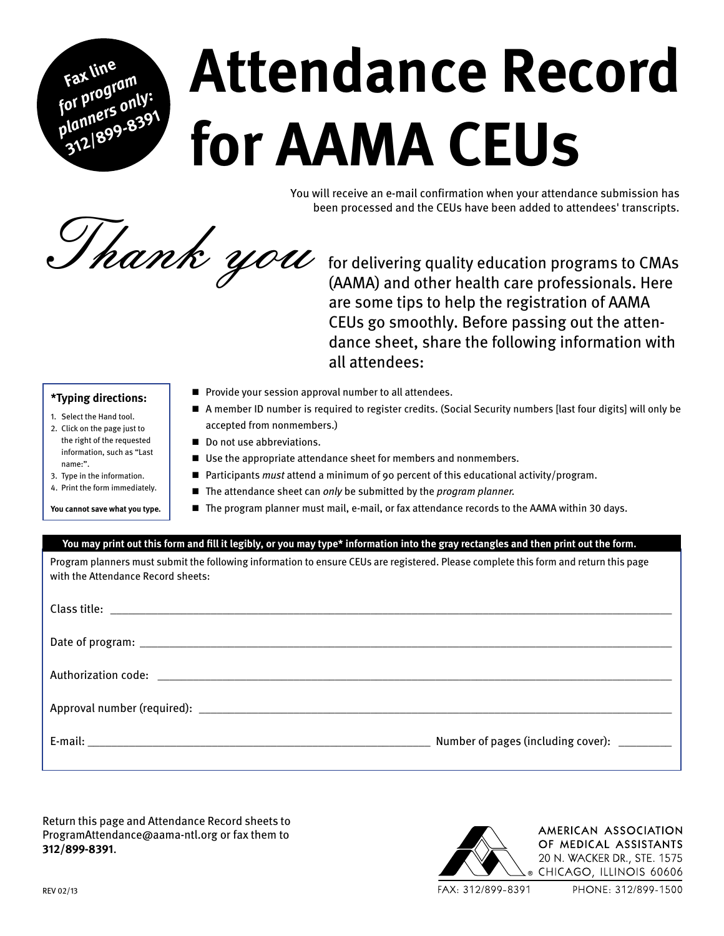# **Attendance Record for AAMA CEUs**

You will receive an e-mail confirmation when your attendance submission has been processed and the CEUs have been added to attendees' transcripts.

Thank you for delivering quality education programs to CMAs

are some tips to help the registration of AAMA CEUs go smoothly. Before passing out the attendance sheet, share the following information with all attendees:

#### **\*Typing directions:**

#### 1. Select the Hand tool.

**Fax line**  *fax for program planners only:*  **312/899-<sup>8391</sup>**

- 2. Click on the page just to the right of the requested information, such as "Last name:".
- 3. Type in the information.
- 4. Print the form immediately.

#### **You cannot save what you type.**

- $\blacksquare$  Provide your session approval number to all attendees.
- <sup>g</sup> A member ID number is required to register credits. (Social Security numbers [last four digits] will only be accepted from nonmembers.)
- Do not use abbreviations.
- Use the appropriate attendance sheet for members and nonmembers.
- Participants *must* attend a minimum of 90 percent of this educational activity/program.
- The attendance sheet can *only* be submitted by the *program planner*.
- **The program planner must mail, e-mail, or fax attendance records to the AAMA within 30 days.**

#### **You may print out this form and fill it legibly, or you may type\* information into the gray rectangles and then print out the form.**

Program planners must submit the following information to ensure CEUs are registered. Please complete this form and return this page with the Attendance Record sheets:

Return this page and Attendance Record sheets to [ProgramAttendance@aama-ntl.org](mailto:programattendance@aama-ntl.org) or fax them to **312/899-8391**.



FAX: 312/899-8391

PHONE: 312/899-1500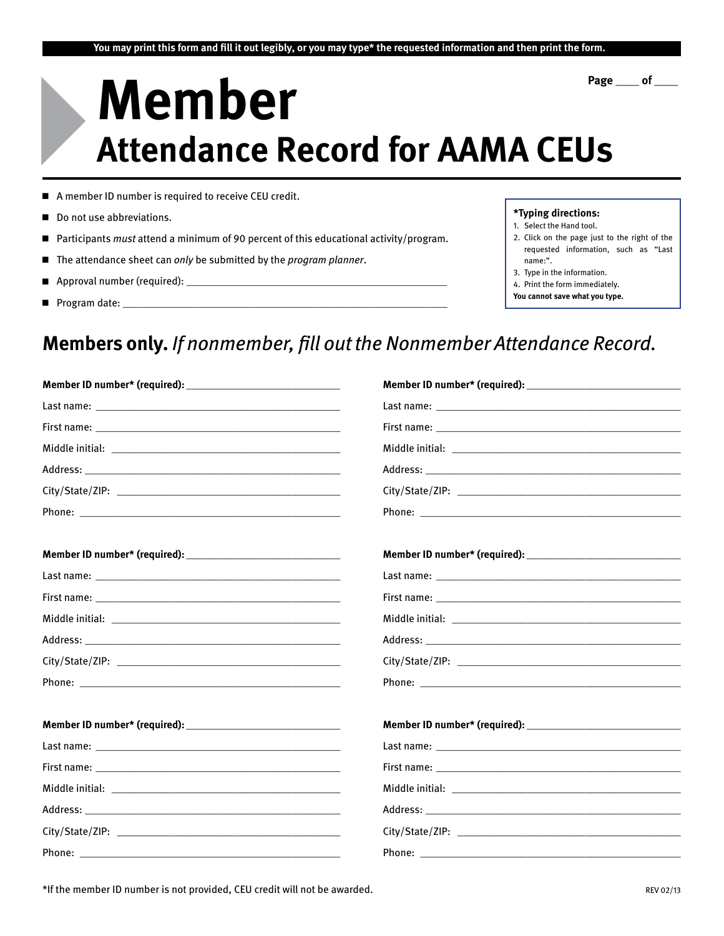# **Member Attendance Record for AAMA CEUs Page \_\_\_\_ of \_\_\_\_** 4

- A member ID number is required to receive CEU credit.
- Do not use abbreviations.
- <sup>g</sup> Participants *must* attend a minimum of 90 percent of this educational activity/program.
- The attendance sheet can *only* be submitted by the *program planner*.
- **Approval number (required):**  $\Box$
- Program date:



- 1. Select the Hand tool.
- 2. Click on the page just to the right of the requested information, such as "Last name:".
- 3. Type in the information.
- 4. Print the form immediately.
- **You cannot save what you type.**

### **Members only.** *If nonmember, fill out the Nonmember Attendance Record.*

| Last name: the contract of the contract of the contract of the contract of the contract of the contract of the contract of the contract of the contract of the contract of the contract of the contract of the contract of the      |  |
|-------------------------------------------------------------------------------------------------------------------------------------------------------------------------------------------------------------------------------------|--|
|                                                                                                                                                                                                                                     |  |
|                                                                                                                                                                                                                                     |  |
|                                                                                                                                                                                                                                     |  |
|                                                                                                                                                                                                                                     |  |
| <b>Phone:</b> The contract of the contract of the contract of the contract of the contract of the contract of the contract of the contract of the contract of the contract of the contract of the contract of the contract of the c |  |
|                                                                                                                                                                                                                                     |  |
|                                                                                                                                                                                                                                     |  |
|                                                                                                                                                                                                                                     |  |
|                                                                                                                                                                                                                                     |  |
|                                                                                                                                                                                                                                     |  |
|                                                                                                                                                                                                                                     |  |
|                                                                                                                                                                                                                                     |  |
|                                                                                                                                                                                                                                     |  |
| Last name: the contract of the contract of the contract of the contract of the contract of the contract of the contract of the contract of the contract of the contract of the contract of the contract of the contract of the      |  |
|                                                                                                                                                                                                                                     |  |
|                                                                                                                                                                                                                                     |  |
|                                                                                                                                                                                                                                     |  |
|                                                                                                                                                                                                                                     |  |
|                                                                                                                                                                                                                                     |  |
|                                                                                                                                                                                                                                     |  |

\*If the member ID number is not provided, CEU credit will not be awarded. And the member of the member of the volume of the volume of the volume of the volume of the volume of the volume of the volume of the volume of the